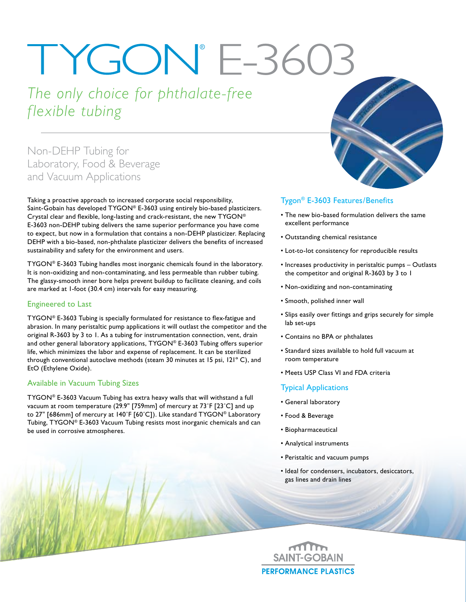# TYGON® E-3603

## *The only choice for phthalate-free flexible tubing*

### Non-DEHP Tubing for Laboratory, Food & Beverage and Vacuum Applications

Taking a proactive approach to increased corporate social responsibility, Saint-Gobain has developed TYGON® E-3603 using entirely bio-based plasticizers. Crystal clear and flexible, long-lasting and crack-resistant, the new TYGON® E-3603 non-DEHP tubing delivers the same superior performance you have come to expect, but now in a formulation that contains a non-DEHP plasticizer. Replacing DEHP with a bio-based, non-phthalate plasticizer delivers the benefits of increased sustainability and safety for the environment and users.

TYGON® E-3603 Tubing handles most inorganic chemicals found in the laboratory. It is non-oxidizing and non-contaminating, and less permeable than rubber tubing. The glassy-smooth inner bore helps prevent buildup to facilitate cleaning, and coils are marked at 1-foot (30.4 cm) intervals for easy measuring.

#### Engineered to Last

TYGON® E-3603 Tubing is specially formulated for resistance to flex-fatigue and abrasion. In many peristaltic pump applications it will outlast the competitor and the original R-3603 by 3 to 1. As a tubing for instrumentation connection, vent, drain and other general laboratory applications, TYGON® E-3603 Tubing offers superior life, which minimizes the labor and expense of replacement. It can be sterilized through conventional autoclave methods (steam 30 minutes at 15 psi, 121º C), and EtO (Ethylene Oxide).

#### Available in Vacuum Tubing Sizes

TYGON® E-3603 Vacuum Tubing has extra heavy walls that will withstand a full vacuum at room temperature (29.9" [759mm] of mercury at 73˚F [23˚C] and up to 27" [686mm] of mercury at 140˚F [60˚C]). Like standard TYGON® Laboratory Tubing, TYGON® E-3603 Vacuum Tubing resists most inorganic chemicals and can be used in corrosive atmospheres.



#### Tygon® E-3603 Features/Benefits

- The new bio-based formulation delivers the same excellent performance
- Outstanding chemical resistance
- Lot-to-lot consistency for reproducible results
- Increases productivity in peristaltic pumps Outlasts the competitor and original R-3603 by 3 to 1
- Non-oxidizing and non-contaminating
- Smooth, polished inner wall
- Slips easily over fittings and grips securely for simple lab set-ups
- Contains no BPA or phthalates
- Standard sizes available to hold full vacuum at room temperature
- Meets USP Class VI and FDA criteria

#### Typical Applications

- General laboratory
- Food & Beverage
- Biopharmaceutical
- Analytical instruments
- Peristaltic and vacuum pumps
- Ideal for condensers, incubators, desiccators, gas lines and drain lines

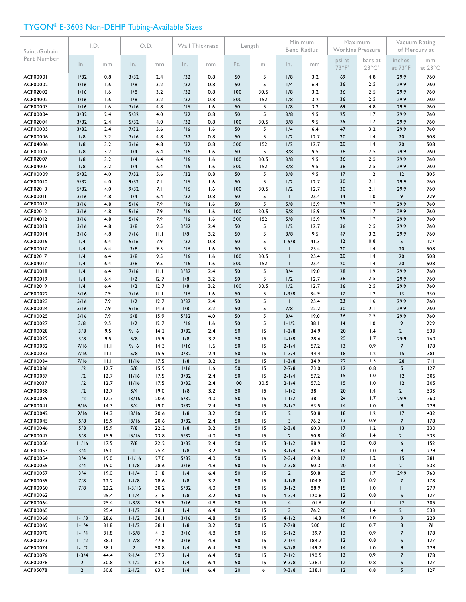#### TYGON® E-3603 Non-DEHP Tubing-Available Sizes

| Saint-Gobain         | I.D.                      |              | O.D.                   |              | Wall Thickness |            | Length    |            | Minimum<br><b>Bend Radius</b>                      |               | Maximum<br>Working Pressure |                            | Vacuum Rating<br>of Mercury at |               |
|----------------------|---------------------------|--------------|------------------------|--------------|----------------|------------|-----------|------------|----------------------------------------------------|---------------|-----------------------------|----------------------------|--------------------------------|---------------|
| Part Number          | In.                       | mm           | In.                    | mm           | In.            | mm         | Ft.       | m          | In.                                                | mm            | psi at<br>73°F*             | bars at<br>$23^{\circ}$ C* | inches<br>at 73°F              | mm<br>at 23°C |
| <b>ACF00001</b>      | 1/32                      | 0.8          | 3/32                   | 2.4          | 1/32           | 0.8        | 50        | 15         | 1/8                                                | 3.2           | 69                          | 4.8                        | 29.9                           | 760           |
| ACF00002             | 1/16                      | 1.6          | 1/8                    | 3.2          | 1/32           | 0.8        | 50        | 15         | 1/4                                                | 6.4           | 36                          | 2.5                        | 29.9                           | 760           |
| ACF02002             | 1/16                      | 1.6          | 1/8                    | 3.2          | 1/32           | 0.8        | 100       | 30.5       | 1/8                                                | 3.2           | 36                          | 2.5                        | 29.9                           | 760           |
| ACF04002             | 1/16                      | 1.6          | 1/8                    | 3.2          | 1/32           | 0.8        | 500       | 152        | 1/8                                                | 3.2           | 36                          | 2.5                        | 29.9                           | 760           |
| ACF00003<br>ACF00004 | 1/16<br>3/32              | 1.6<br>2.4   | 3/16<br>5/32           | 4.8<br>4.0   | 1/16<br>1/32   | 1.6<br>0.8 | 50<br>50  | 15<br>15   | 1/8<br>3/8                                         | 3.2<br>9.5    | 69<br>25                    | 4.8<br>1.7                 | 29.9<br>29.9                   | 760<br>760    |
| ACF02004             | 3/32                      | 2.4          | 5/32                   | 4.0          | 1/32           | 0.8        | 100       | 30.5       | 3/8                                                | 9.5           | 25                          | 1.7                        | 29.9                           | 760           |
| ACF00005             | 3/32                      | 2.4          | 7/32                   | 5.6          | 1/16           | 1.6        | 50        | 15         | 1/4                                                | 6.4           | 47                          | 3.2                        | 29.9                           | 760           |
| ACF00006             | 1/8                       | 3.2          | 3/16                   | 4.8          | 1/32           | 0.8        | 50        | 15         | 1/2                                                | 12.7          | 20                          | 1.4                        | 20                             | 508           |
| ACF04006             | 1/8                       | 3.2          | 3/16                   | 4.8          | 1/32           | 0.8        | 500       | 152        | 1/2                                                | 12.7          | 20                          | 1.4                        | 20                             | 508           |
| ACF00007             | 1/8                       | 3.2          | 1/4                    | 6.4          | 1/16           | 1.6        | 50        | 15         | 3/8                                                | 9.5           | 36                          | 2.5                        | 29.9                           | 760           |
| ACF02007             | 1/8                       | 3.2          | 1/4                    | 6.4          | 1/16           | 1.6        | 100       | 30.5       | 3/8                                                | 9.5           | 36                          | 2.5                        | 29.9                           | 760           |
| ACF04007             | 1/8                       | 3.2          | 1/4                    | 6.4          | 1/16           | 1.6        | 500       | 152        | 3/8                                                | 9.5           | 36                          | 2.5                        | 29.9                           | 760           |
| ACF00009             | 5/32                      | 4.0          | 7/32                   | 5.6          | 1/32           | 0.8        | 50        | 15         | 3/8                                                | 9.5           | 17                          | 1.2                        | 12                             | 305           |
| ACF00010<br>ACF02010 | 5/32<br>5/32              | 4.0<br>4.0   | 9/32<br>9/32           | 7.1<br>7.1   | 1/16<br>1/16   | 1.6<br>1.6 | 50<br>100 | 15<br>30.5 | 1/2<br>1/2                                         | 12.7<br>12.7  | 30<br>30                    | 2.1<br>2.1                 | 29.9<br>29.9                   | 760<br>760    |
| <b>ACF00011</b>      | 3/16                      | 4.8          | 1/4                    | 6.4          | 1/32           | 0.8        | 50        | 15         | $\mathbf{I}$                                       | 25.4          | 4                           | 1.0                        | 9                              | 229           |
| ACF00012             | 3/16                      | 4.8          | 5/16                   | 7.9          | 1/16           | 1.6        | 50        | 15         | 5/8                                                | 15.9          | 25                          | 1.7                        | 29.9                           | 760           |
| ACF02012             | 3/16                      | 4.8          | 5/16                   | 7.9          | 1/16           | 1.6        | 100       | 30.5       | 5/8                                                | 15.9          | 25                          | 1.7                        | 29.9                           | 760           |
| ACF04012             | 3/16                      | 4.8          | 5/16                   | 7.9          | 1/16           | 1.6        | 500       | 152        | 5/8                                                | 15.9          | 25                          | 1.7                        | 29.9                           | 760           |
| ACF00013             | 3/16                      | 4.8          | 3/8                    | 9.5          | 3/32           | 2.4        | 50        | 15         | 1/2                                                | 12.7          | 36                          | 2.5                        | 29.9                           | 760           |
| ACF00014             | 3/16                      | 4.8          | 7/16                   | 11.1         | 1/8            | 3.2        | 50        | 15         | 3/8                                                | 9.5           | 47                          | 3.2                        | 29.9                           | 760           |
| ACF00016             | 1/4                       | 6.4          | 5/16                   | 7.9          | 1/32           | 0.8        | 50        | 15         | $1 - 5/8$                                          | 41.3          | 12                          | 0.8                        | 5                              | 127           |
| ACF00017<br>ACF02017 | 1/4<br>1/4                | 6.4<br>6.4   | 3/8<br>3/8             | 9.5<br>9.5   | 1/16<br>1/16   | 1.6<br>1.6 | 50<br>100 | 15<br>30.5 | $\mathbf{I}$<br>$\overline{\phantom{a}}$           | 25.4<br>25.4  | 20<br>20                    | 1.4<br>1.4                 | 20<br>20                       | 508<br>508    |
| ACF04017             | 1/4                       | 6.4          | 3/8                    | 9.5          | 1/16           | 1.6        | 500       | 152        | $\mathbf{I}$                                       | 25.4          | 20                          | 1.4                        | 20                             | 508           |
| ACF00018             | 1/4                       | 6.4          | 7/16                   | 11.1         | 3/32           | 2.4        | 50        | 15         | 3/4                                                | 19.0          | 28                          | 1.9                        | 29.9                           | 760           |
| ACF00019             | 1/4                       | 6.4          | 1/2                    | 12.7         | 1/8            | 3.2        | 50        | 15         | 1/2                                                | 12.7          | 36                          | 2.5                        | 29.9                           | 760           |
| ACF02019             | 1/4                       | 6.4          | 1/2                    | 12.7         | 1/8            | 3.2        | 100       | 30.5       | 1/2                                                | 12.7          | 36                          | 2.5                        | 29.9                           | 760           |
| ACF00022             | 5/16                      | 7.9          | 7/16                   | 11.1         | 1/16           | 1.6        | 50        | 15         | $1 - 3/8$                                          | 34.9          | 17                          | 1.2                        | 13                             | 330           |
| ACF00023             | 5/16                      | 7.9          | 1/2                    | 12.7         | 3/32           | 2.4        | 50        | 15         | $\mathbf{I}$                                       | 25.4          | 23                          | 1.6                        | 29.9                           | 760           |
| ACF00024             | 5/16                      | 7.9          | 9/16                   | 14.3         | 1/8            | 3.2        | 50        | 15         | 7/8                                                | 22.2          | 30                          | 2.1                        | 29.9                           | 760           |
| ACF00025<br>ACF00027 | 5/16<br>3/8               | 7.9<br>9.5   | 5/8<br>1/2             | 15.9<br>12.7 | 5/32<br>1/16   | 4.0<br>1.6 | 50<br>50  | 15<br>15   | 3/4<br>$1 - 1/2$                                   | 19.0<br>38.1  | 36<br> 4                    | 2.5<br>1.0                 | 29.9<br>9                      | 760<br>229    |
| ACF00028             | 3/8                       | 9.5          | 9/16                   | 14.3         | 3/32           | 2.4        | 50        | 15         | $1 - 3/8$                                          | 34.9          | 20                          | 1.4                        | 21                             | 533           |
| ACF00029             | 3/8                       | 9.5          | 5/8                    | 15.9         | 1/8            | 3.2        | 50        | 15         | $1 - 1/8$                                          | 28.6          | 25                          | 1.7                        | 29.9                           | 760           |
| ACF00032             | 7/16                      | 11.1         | 9/16                   | 14.3         | 1/16           | 1.6        | 50        | 15         | $2 - 1/4$                                          | 57.2          | 13                          | 0.9                        | $\overline{7}$                 | 178           |
| ACF00033             | 7/16                      | 11.1         | 5/8                    | 15.9         | 3/32           | 2.4        | 50        | 15         | $1 - 3/4$                                          | 44.4          | 18                          | 1.2                        | 15                             | 381           |
| ACF00034             | 7/16                      | 11.1         | 11/16                  | 17.5         | 1/8            | 3.2        | 50        | 15         | $1 - 3/8$                                          | 34.9          | 22                          | 1.5                        | 28                             | 711           |
| ACF00036             | 1/2                       | 12.7         | 5/8                    | 15.9         | 1/16           | 1.6        | 50        | 15         | $2 - 7/8$                                          | 73.0          | 12                          | 0.8                        | 5                              | 127           |
| ACF00037<br>ACF02037 | 1/2<br>1/2                | 12.7<br>12.7 | 11/16<br>11/16         | 17.5<br>17.5 | 3/32<br>3/32   | 2.4<br>2.4 | 50<br>100 | 15<br>30.5 | $2 - 1/4$<br>$2 - 1/4$                             | 57.2<br>57.2  | 15<br>15                    | 1.0<br>1.0                 | 12<br>12                       | 305<br>305    |
| ACF00038             | 1/2                       | 12.7         | 3/4                    | 19.0         | 1/8            | 3.2        | 50        | 15         | $1 - 1/2$                                          | 38.1          | 20                          | 1.4                        | 21                             | 533           |
| ACF00039             | 1/2                       | 12.7         | 13/16                  | 20.6         | 5/32           | 4.0        | 50        | 15         | $1 - 1/2$                                          | 38.1          | 24                          | 1.7                        | 29.9                           | 760           |
| ACF00041             | 9/16                      | 14.3         | 3/4                    | 19.0         | 3/32           | 2.4        | 50        | 15         | $2 - 1/2$                                          | 63.5          | 4                           | 1.0                        | 9                              | 229           |
| ACF00042             | 9/16                      | 14.3         | 13/16                  | 20.6         | 1/8            | 3.2        | 50        | 15         | $\overline{2}$                                     | 50.8          | 18                          | 1.2                        | 17                             | 432           |
| ACF00045             | 5/8                       | 15.9         | 13/16                  | 20.6         | 3/32           | 2.4        | 50        | 15         | $\overline{\mathbf{3}}$                            | 76.2          | 3                           | 0.9                        | $\overline{7}$                 | 178           |
| ACF00046             | 5/8                       | 15.9         | 7/8                    | 22.2         | 1/8            | 3.2        | 50        | 15         | $2 - 3/8$                                          | 60.3          | 17                          | 1.2                        | 13                             | 330           |
| ACF00047<br>ACF00050 | 5/8                       | 15.9         | 15/16<br>7/8           | 23.8         | 5/32           | 4.0<br>2.4 | 50        | 15<br>15   | $\overline{2}$                                     | 50.8          | 20<br>12                    | 1.4                        | 21<br>6                        | 533<br>152    |
| ACF00053             | 11/16<br>3/4              | 17.5<br>19.0 | $\mathbf{I}$           | 22.2<br>25.4 | 3/32<br>1/8    | 3.2        | 50<br>50  | 15         | $3 - 1/2$<br>$3 - 1/4$                             | 88.9<br>82.6  | 4                           | 0.8<br>1.0                 | 9                              | 229           |
| ACF00054             | 3/4                       | 19.0         | $1 - 1/16$             | 27.0         | 5/32           | 4.0        | 50        | 15         | $2 - 3/4$                                          | 69.8          | 17                          | 1.2                        | 15                             | 381           |
| ACF00055             | 3/4                       | 19.0         | $1 - 1/8$              | 28.6         | 3/16           | 4.8        | 50        | 15         | $2 - 3/8$                                          | 60.3          | 20                          | 1.4                        | 21                             | 533           |
| ACF00057             | 3/4                       | 19.0         | $1 - 1/4$              | 31.8         | 1/4            | 6.4        | 50        | 15         | $\overline{2}$                                     | 50.8          | 25                          | 1.7                        | 29.9                           | 760           |
| ACF00059             | 7/8                       | 22.2         | $1 - 1/8$              | 28.6         | 1/8            | 3.2        | 50        | 15         | $4 - 1/8$                                          | 104.8         | 13                          | 0.9                        | $\overline{7}$                 | 178           |
| ACF00060             | 7/8                       | 22.2         | $1 - 3/16$             | 30.2         | 5/32           | 4.0        | 50        | 15         | $3 - 1/2$                                          | 88.9          | 15                          | 1.0                        | $\mathbf{H}$                   | 279           |
| ACF00062             | $\mathbf{I}$              | 25.4         | $1 - 1/4$              | 31.8         | 1/8            | 3.2        | 50        | 15         | $4 - 3/4$                                          | 120.6         | 12                          | 0.8                        | 5                              | 127           |
| ACF00064             | $\mathsf{I}$              | 25.4         | $1 - 3/8$              | 34.9         | 3/16           | 4.8        | 50        | 15         | $\overline{\mathbf{4}}$<br>$\overline{\mathbf{3}}$ | 101.6         | 16                          | 1.1                        | 12                             | 305           |
| ACF00065<br>ACF00068 | $\mathbf{I}$<br>$1 - 1/8$ | 25.4<br>28.6 | $1 - 1/2$<br>$1 - 1/2$ | 38.1<br>38.1 | 1/4<br>3/16    | 6.4<br>4.8 | 50<br>50  | 15<br>15   | $4 - 1/2$                                          | 76.2<br>114.3 | 20<br> 4                    | 1.4<br>1.0                 | 21<br>9                        | 533<br>229    |
| ACF00069             | $1 - 1/4$                 | 31.8         | $1 - 1/2$              | 38.1         | 1/8            | 3.2        | 50        | 15         | $7 - 7/8$                                          | 200           | 10                          | 0.7                        | 3                              | 76            |
| ACF00070             | $1 - 1/4$                 | 31.8         | $1 - 5/8$              | 41.3         | 3/16           | 4.8        | 50        | 15         | $5 - 1/2$                                          | 139.7         | 3                           | 0.9                        | $\overline{7}$                 | 178           |
| ACF00073             | $1 - 1/2$                 | 38.1         | $1 - 7/8$              | 47.6         | 3/16           | 4.8        | 50        | 15         | $7 - 1/4$                                          | 184.2         | 12                          | 0.8                        | 5                              | 127           |
| ACF00074             | $1 - 1/2$                 | 38.1         | $\overline{2}$         | 50.8         | 1/4            | 6.4        | 50        | 15         | $5 - 7/8$                                          | 149.2         | 4                           | 1.0                        | 9                              | 229           |
| ACF00076             | $1 - 3/4$                 | 44.4         | $2 - 1/4$              | 57.2         | 1/4            | 6.4        | 50        | 15         | $7 - 1/2$                                          | 190.5         | 3                           | 0.9                        | $\overline{7}$                 | 178           |
| ACF00078             | $\overline{2}$            | 50.8         | $2 - 1/2$              | 63.5         | 1/4            | 6.4        | 50        | 15         | $9 - 3/8$                                          | 238.I         | 12                          | 0.8                        | 5                              | 127           |
| ACF05078             | $\overline{2}$            | 50.8         | $2 - 1/2$              | 63.5         | 1/4            | $6.4\,$    | 20        | 6          | $9 - 3/8$                                          | 238.1         | 12                          | 0.8                        | $\sqrt{5}$                     | 127           |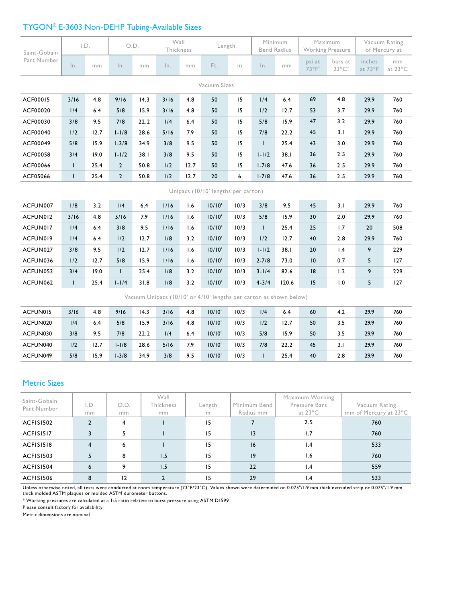#### TYGON® E-3603 Non-DEHP Tubing-Available Sizes

| Saint-Gobain                        | I.D.         |      | O.D.           |      | Wall<br>Thickness |      | Length |      | Minimum<br><b>Bend Radius</b> |       | Maximum<br><b>Working Pressure</b> |                            | Vacuum Rating<br>of Mercury at |               |
|-------------------------------------|--------------|------|----------------|------|-------------------|------|--------|------|-------------------------------|-------|------------------------------------|----------------------------|--------------------------------|---------------|
| Part Number                         | In.          | mm   | In.            | mm   | $\ln$ .           | mm   | Ft.    | m    | ln.                           | mm    | psi at<br>$73^{\circ}F^{*}$        | bars at<br>$23^{\circ}$ C* | inches<br>at 73°F              | mm<br>at 23°C |
| Vacuum Sizes                        |              |      |                |      |                   |      |        |      |                               |       |                                    |                            |                                |               |
| ACF00015                            | 3/16         | 4.8  | 9/16           | 14.3 | 3/16              | 4.8  | 50     | 15   | 1/4                           | 6.4   | 69                                 | 4.8                        | 29.9                           | 760           |
| ACF00020                            | 1/4          | 6.4  | 5/8            | 15.9 | 3/16              | 4.8  | 50     | 15   | 1/2                           | 12.7  | 53                                 | 3.7                        | 29.9                           | 760           |
| ACF00030                            | 3/8          | 9.5  | 7/8            | 22.2 | 1/4               | 6.4  | 50     | 15   | 5/8                           | 15.9  | 47                                 | 3.2                        | 29.9                           | 760           |
| ACF00040                            | 1/2          | 12.7 | $1 - 1/8$      | 28.6 | 5/16              | 7.9  | 50     | 15   | 7/8                           | 22.2  | 45                                 | 3.1                        | 29.9                           | 760           |
| ACF00049                            | 5/8          | 15.9 | $1 - 3/8$      | 34.9 | 3/8               | 9.5  | 50     | 15   | T                             | 25.4  | 43                                 | 3.0                        | 29.9                           | 760           |
| ACF00058                            | 3/4          | 19.0 | $1 - 1/2$      | 38.1 | 3/8               | 9.5  | 50     | 15   | $1 - 1/2$                     | 38.1  | 36                                 | 2.5                        | 29.9                           | 760           |
| ACF00066                            | $\mathbf{I}$ | 25.4 | $\overline{2}$ | 50.8 | 1/2               | 12.7 | 50     | 15   | $1 - 7/8$                     | 47.6  | 36                                 | 2.5                        | 29.9                           | 760           |
| ACF05066                            | $\mathsf{I}$ | 25.4 | $\overline{2}$ | 50.8 | 1/2               | 12.7 | 20     | 6    | $1 - 7/8$                     | 47.6  | 36                                 | 2.5                        | 29.9                           | 760           |
| Unipacs (10/10' lengths per carton) |              |      |                |      |                   |      |        |      |                               |       |                                    |                            |                                |               |
| ACFUN007                            | 1/8          | 3.2  | 1/4            | 6.4  | 1/16              | 1.6  | 10/10' | 10/3 | 3/8                           | 9.5   | 45                                 | 3.1                        | 29.9                           | 760           |
| ACFUN012                            | 3/16         | 4.8  | 5/16           | 7.9  | 1/16              | 1.6  | 10/10' | 10/3 | 5/8                           | 15.9  | 30                                 | 2.0                        | 29.9                           | 760           |
| ACFUN017                            | 1/4          | 6.4  | 3/8            | 9.5  | 1/16              | 1.6  | 10/10' | 10/3 | $\mathbf{I}$                  | 25.4  | 25                                 | 1.7                        | 20                             | 508           |
| ACFUN019                            | 1/4          | 6.4  | 1/2            | 12.7 | 1/8               | 3.2  | 10/10' | 10/3 | 1/2                           | 12.7  | 40                                 | 2.8                        | 29.9                           | 760           |
| ACFUN027                            | 3/8          | 9.5  | 1/2            | 12.7 | 1/16              | 1.6  | 10/10' | 10/3 | $1 - 1/2$                     | 38.1  | 20                                 | 1.4                        | 9                              | 229           |
| ACFUN036                            | 1/2          | 12.7 | 5/8            | 15.9 | 1/16              | 1.6  | 10/10' | 10/3 | $2 - 7/8$                     | 73.0  | 10                                 | 0.7                        | 5                              | 127           |
| ACFUN053                            | 3/4          | 19.0 | $\mathbf{L}$   | 25.4 | 1/8               | 3.2  | 10/10' | 10/3 | $3 - 1/4$                     | 82.6  | 8                                  | 1.2                        | 9                              | 229           |
| ACFUN062                            | $\mathbf{I}$ | 25.4 | $1-1/4$        | 31.8 | 1/8               | 3.2  | 10/10' | 10/3 | $4 - 3/4$                     | 120.6 | 15                                 | 1.0                        | 5                              | 127           |

Vacuum Unipacs (10/10' or 4/10' lengths per carton as shown below)

| ACFUN015 | 3/16 | 4.8  | 9/16      | 14.3 | 3/16 | 4.8 | 10/10' | 10/3 | 1/4 | 6.4  | 60 | 4.2 | 29.9 | 760 |
|----------|------|------|-----------|------|------|-----|--------|------|-----|------|----|-----|------|-----|
| ACFUN020 | 1/4  | 6.4  | 5/8       | 15.9 | 3/16 | 4.8 | 10/10' | 10/3 | 1/2 | 12.7 | 50 | 3.5 | 29.9 | 760 |
| ACFUN030 | 3/8  | 9.5  | 7/8       | 22.2 | 1/4  | 6.4 | 10/10' | 10/3 | 5/8 | 15.9 | 50 | 3.5 | 29.9 | 760 |
| ACFUN040 | 1/2  | 12.7 | $1 - 1/8$ | 28.6 | 5/16 | 7.9 | 10/10' | 10/3 | 7/8 | 22.2 | 45 | 3.I | 29.9 | 760 |
| ACFUN049 | 5/8  | 15.9 | $1 - 3/8$ | 34.9 | 3/8  | 9.5 | 10/10' | 10/3 |     | 25.4 | 40 | 2.8 | 29.9 | 760 |

#### Metric Sizes

| Saint-Gobain<br>Part Number | I.D.<br>mm     | O.D.<br>mm | Wall<br>Thickness<br>mm | Length<br>m | Minimum Bend<br>Radius mm | Maximum Working<br>Pressure Bars<br>at 23°C | Vacuum Rating<br>mm of Mercury at 23°C |
|-----------------------------|----------------|------------|-------------------------|-------------|---------------------------|---------------------------------------------|----------------------------------------|
| ACFISI502                   |                | 4          |                         | 15          |                           | 2.5                                         | 760                                    |
| ACFISI517                   | 3              | 5.         |                         | 15          | 3                         | 1.7                                         | 760                                    |
| ACFISI518                   | $\overline{4}$ | 6          |                         | 15          | 16                        | 1.4                                         | 533                                    |
| ACFISI503                   | 5              | 8          | 1.5                     | 15          | 9                         | 1.6                                         | 760                                    |
| ACFISI504                   | 6              | 9          | 1.5                     | 15          | 22                        | 1.4                                         | 559                                    |
| ACFISI506                   | 8              | 12         |                         | 15          | 29                        | $\mathsf{I}$ .4                             | 533                                    |

Unless otherwise noted, all tests were conducted at room temperature (73°F/23°C). Values shown were determined on 0.075"/1.9 mm thick extruded strip or 0.075"/1.9 mm<br>thick molded ASTM plaques or molded ASTM durometer butto

\* Working pressures are calculated at a 1:5 ratio relative to burst pressure using ASTM D1599.

Please consult factory for availability

Metric dimensions are nominal